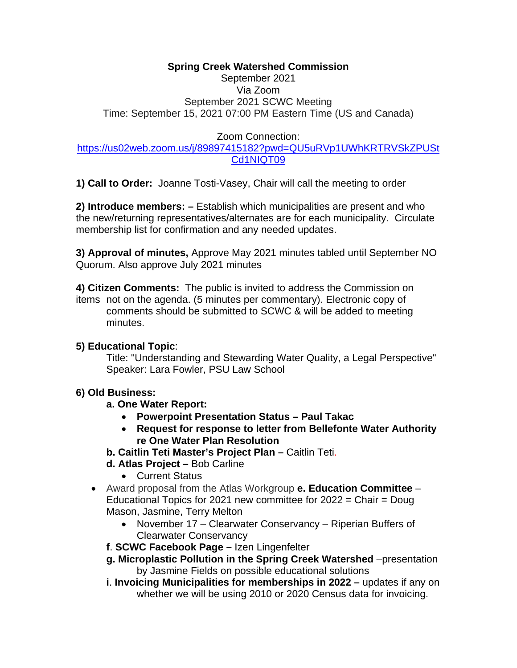## **Spring Creek Watershed Commission**

## September 2021 Via Zoom September 2021 SCWC Meeting Time: September 15, 2021 07:00 PM Eastern Time (US and Canada)

# Zoom Connection:

## [https://us02web.zoom.us/j/89897415182?pwd=QU5uRVp1UWhKRTRVSkZPUSt](https://us02web.zoom.us/j/89897415182?pwd=QU5uRVp1UWhKRTRVSkZPUStCd1NIQT09) [Cd1NIQT09](https://us02web.zoom.us/j/89897415182?pwd=QU5uRVp1UWhKRTRVSkZPUStCd1NIQT09)

**1) Call to Order:** Joanne Tosti-Vasey, Chair will call the meeting to order

**2) Introduce members: –** Establish which municipalities are present and who the new/returning representatives/alternates are for each municipality. Circulate membership list for confirmation and any needed updates.

**3) Approval of minutes,** Approve May 2021 minutes tabled until September NO Quorum. Also approve July 2021 minutes

**4) Citizen Comments:** The public is invited to address the Commission on items not on the agenda. (5 minutes per commentary). Electronic copy of comments should be submitted to SCWC & will be added to meeting minutes.

# **5) Educational Topic**:

Title: "Understanding and Stewarding Water Quality, a Legal Perspective" Speaker: Lara Fowler, PSU Law School

# **6) Old Business:**

- **a. One Water Report:** 
	- **Powerpoint Presentation Status – Paul Takac**
	- **Request for response to letter from Bellefonte Water Authority re One Water Plan Resolution**
- **b. Caitlin Teti Master's Project Plan –** Caitlin Teti.
- **d. Atlas Project –** Bob Carline
	- Current Status
- Award proposal from the Atlas Workgroup **e. Education Committee**  Educational Topics for 2021 new committee for 2022 = Chair = Doug Mason, Jasmine, Terry Melton
	- November 17 Clearwater Conservancy Riperian Buffers of Clearwater Conservancy
	- **f**. **SCWC Facebook Page –** Izen Lingenfelter
	- **g. Microplastic Pollution in the Spring Creek Watershed** –presentation by Jasmine Fields on possible educational solutions
	- **i**. **Invoicing Municipalities for memberships in 2022 –** updates if any on whether we will be using 2010 or 2020 Census data for invoicing.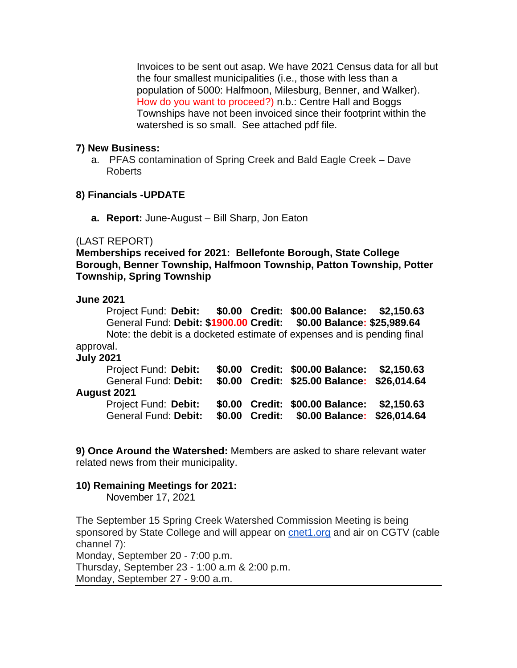Invoices to be sent out asap. We have 2021 Census data for all but the four smallest municipalities (i.e., those with less than a population of 5000: Halfmoon, Milesburg, Benner, and Walker). How do you want to proceed?) n.b.: Centre Hall and Boggs Townships have not been invoiced since their footprint within the watershed is so small. See attached pdf file.

### **7) New Business:**

a. PFAS contamination of Spring Creek and Bald Eagle Creek – Dave Roberts

#### **8) Financials -UPDATE**

**a. Report:** June-August – Bill Sharp, Jon Eaton

#### (LAST REPORT)

**Memberships received for 2021: Bellefonte Borough, State College Borough, Benner Township, Halfmoon Township, Patton Township, Potter Township, Spring Township**

#### **June 2021**

Project Fund: **Debit: \$0.00 Credit: \$00.00 Balance: \$2,150.63** General Fund: **Debit: \$1900.00 Credit: \$0.00 Balance: \$25,989.64** Note: the debit is a docketed estimate of expenses and is pending final approval.

#### **July 2021**

| Project Fund: Debit:<br>General Fund: Debit:<br>August 2021 |                | \$0.00 Credit: \$00.00 Balance: \$2,150.63<br>\$0.00 Credit: \$25.00 Balance: \$26,014.64 |  |  |
|-------------------------------------------------------------|----------------|-------------------------------------------------------------------------------------------|--|--|
| Project Fund: Debit:<br>General Fund: Debit:                | \$0.00 Credit: | \$0.00 Credit: \$00.00 Balance: \$2,150.63<br>\$0.00 Balance: \$26,014.64                 |  |  |

**9) Once Around the Watershed:** Members are asked to share relevant water related news from their municipality.

### **10) Remaining Meetings for 2021:**

November 17, 2021

The September 15 Spring Creek Watershed Commission Meeting is being sponsored by State College and will appear on [cnet1.org](http://cnet1.org/) and air on CGTV (cable channel 7): Monday, September 20 - 7:00 p.m. Thursday, September 23 - 1:00 a.m & 2:00 p.m. Monday, September 27 - 9:00 a.m.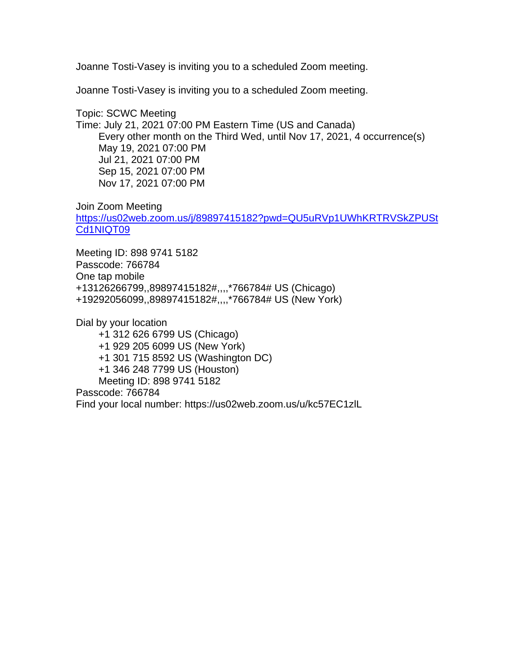Joanne Tosti-Vasey is inviting you to a scheduled Zoom meeting.

Joanne Tosti-Vasey is inviting you to a scheduled Zoom meeting.

Topic: SCWC Meeting Time: July 21, 2021 07:00 PM Eastern Time (US and Canada) Every other month on the Third Wed, until Nov 17, 2021, 4 occurrence(s) May 19, 2021 07:00 PM Jul 21, 2021 07:00 PM Sep 15, 2021 07:00 PM Nov 17, 2021 07:00 PM

Join Zoom Meeting

[https://us02web.zoom.us/j/89897415182?pwd=QU5uRVp1UWhKRTRVSkZPUSt](https://us02web.zoom.us/j/89897415182?pwd=QU5uRVp1UWhKRTRVSkZPUStCd1NIQT09) [Cd1NIQT09](https://us02web.zoom.us/j/89897415182?pwd=QU5uRVp1UWhKRTRVSkZPUStCd1NIQT09)

Meeting ID: 898 9741 5182 Passcode: 766784 One tap mobile +13126266799,,89897415182#,,,,\*766784# US (Chicago) +19292056099,,89897415182#,,,,\*766784# US (New York)

Dial by your location +1 312 626 6799 US (Chicago) +1 929 205 6099 US (New York) +1 301 715 8592 US (Washington DC) +1 346 248 7799 US (Houston) Meeting ID: 898 9741 5182 Passcode: 766784 Find your local number: https://us02web.zoom.us/u/kc57EC1zlL